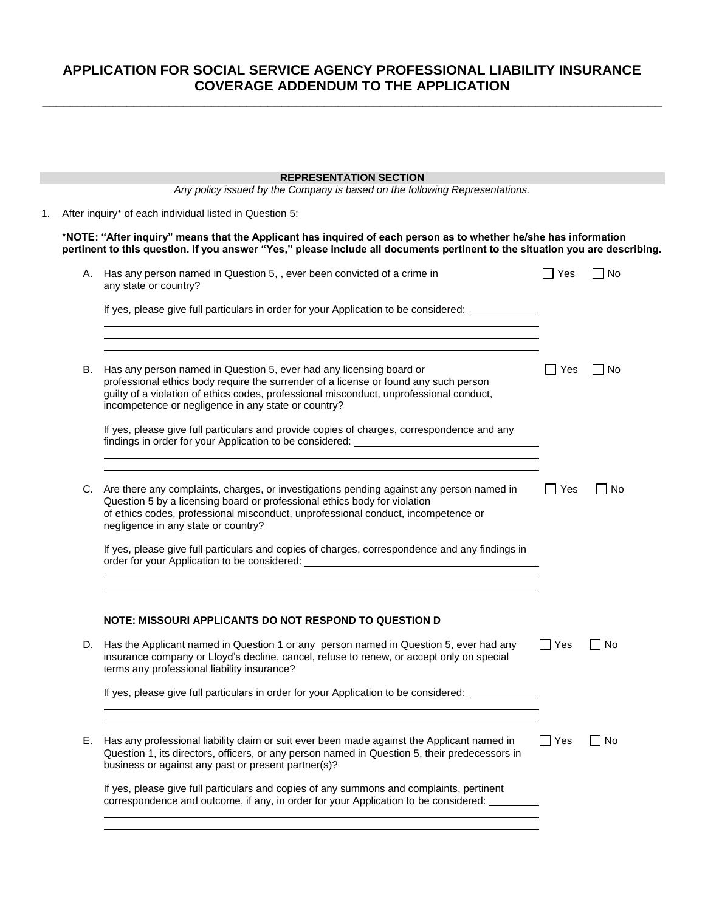## **APPLICATION FOR SOCIAL SERVICE AGENCY PROFESSIONAL LIABILITY INSURANCE COVERAGE ADDENDUM TO THE APPLICATION**

**\_\_\_\_\_\_\_\_\_\_\_\_\_\_\_\_\_\_\_\_\_\_\_\_\_\_\_\_\_\_\_\_\_\_\_\_\_\_\_\_\_\_\_\_\_\_\_\_\_\_\_\_\_\_\_\_\_\_\_\_\_\_\_\_\_\_\_\_\_\_\_\_\_\_\_\_\_\_\_\_\_\_\_\_\_\_\_\_**

|    |                                                                                                                                                                                                                                                  | <b>REPRESENTATION SECTION</b><br>Any policy issued by the Company is based on the following Representations.                                                                                                                                                                                         |            |           |  |  |  |
|----|--------------------------------------------------------------------------------------------------------------------------------------------------------------------------------------------------------------------------------------------------|------------------------------------------------------------------------------------------------------------------------------------------------------------------------------------------------------------------------------------------------------------------------------------------------------|------------|-----------|--|--|--|
|    |                                                                                                                                                                                                                                                  |                                                                                                                                                                                                                                                                                                      |            |           |  |  |  |
| 1. | After inquiry* of each individual listed in Question 5:                                                                                                                                                                                          |                                                                                                                                                                                                                                                                                                      |            |           |  |  |  |
|    | *NOTE: "After inquiry" means that the Applicant has inquired of each person as to whether he/she has information<br>pertinent to this question. If you answer "Yes," please include all documents pertinent to the situation you are describing. |                                                                                                                                                                                                                                                                                                      |            |           |  |  |  |
|    |                                                                                                                                                                                                                                                  | A. Has any person named in Question 5, , ever been convicted of a crime in<br>any state or country?                                                                                                                                                                                                  | ∣ ∣ Yes    | $\Box$ No |  |  |  |
|    |                                                                                                                                                                                                                                                  | If yes, please give full particulars in order for your Application to be considered: _____________<br><u> 1989 - Johann Stoff, deutscher Stoff, der Stoff, der Stoff, der Stoff, der Stoff, der Stoff, der Stoff, der S</u>                                                                          |            |           |  |  |  |
|    | В.                                                                                                                                                                                                                                               | ,我们也不会有什么。""我们的人,我们也不会有什么?""我们的人,我们也不会有什么?""我们的人,我们也不会有什么?""我们的人,我们也不会有什么?""我们的人<br>Has any person named in Question 5, ever had any licensing board or                                                                                                                                              | Yes        | $\Box$ No |  |  |  |
|    |                                                                                                                                                                                                                                                  | professional ethics body require the surrender of a license or found any such person<br>guilty of a violation of ethics codes, professional misconduct, unprofessional conduct,<br>incompetence or negligence in any state or country?                                                               |            |           |  |  |  |
|    |                                                                                                                                                                                                                                                  | If yes, please give full particulars and provide copies of charges, correspondence and any<br>findings in order for your Application to be considered: ________________________                                                                                                                      |            |           |  |  |  |
|    |                                                                                                                                                                                                                                                  | C. Are there any complaints, charges, or investigations pending against any person named in<br>Question 5 by a licensing board or professional ethics body for violation<br>of ethics codes, professional misconduct, unprofessional conduct, incompetence or<br>negligence in any state or country? | Yes        | No        |  |  |  |
|    |                                                                                                                                                                                                                                                  | If yes, please give full particulars and copies of charges, correspondence and any findings in<br>order for your Application to be considered: ___________________________________                                                                                                                   |            |           |  |  |  |
|    |                                                                                                                                                                                                                                                  |                                                                                                                                                                                                                                                                                                      |            |           |  |  |  |
|    |                                                                                                                                                                                                                                                  | NOTE: MISSOURI APPLICANTS DO NOT RESPOND TO QUESTION D                                                                                                                                                                                                                                               |            |           |  |  |  |
|    | D.                                                                                                                                                                                                                                               | Has the Applicant named in Question 1 or any person named in Question 5, ever had any<br>insurance company or Lloyd's decline, cancel, refuse to renew, or accept only on special<br>terms any professional liability insurance?                                                                     | $\Box$ Yes | No        |  |  |  |
|    |                                                                                                                                                                                                                                                  | If yes, please give full particulars in order for your Application to be considered: ____________                                                                                                                                                                                                    |            |           |  |  |  |
|    | Е.                                                                                                                                                                                                                                               | Has any professional liability claim or suit ever been made against the Applicant named in<br>Question 1, its directors, officers, or any person named in Question 5, their predecessors in<br>business or against any past or present partner(s)?                                                   | ∐ Yes      | $\Box$ No |  |  |  |
|    |                                                                                                                                                                                                                                                  | If yes, please give full particulars and copies of any summons and complaints, pertinent<br>correspondence and outcome, if any, in order for your Application to be considered: ________                                                                                                             |            |           |  |  |  |